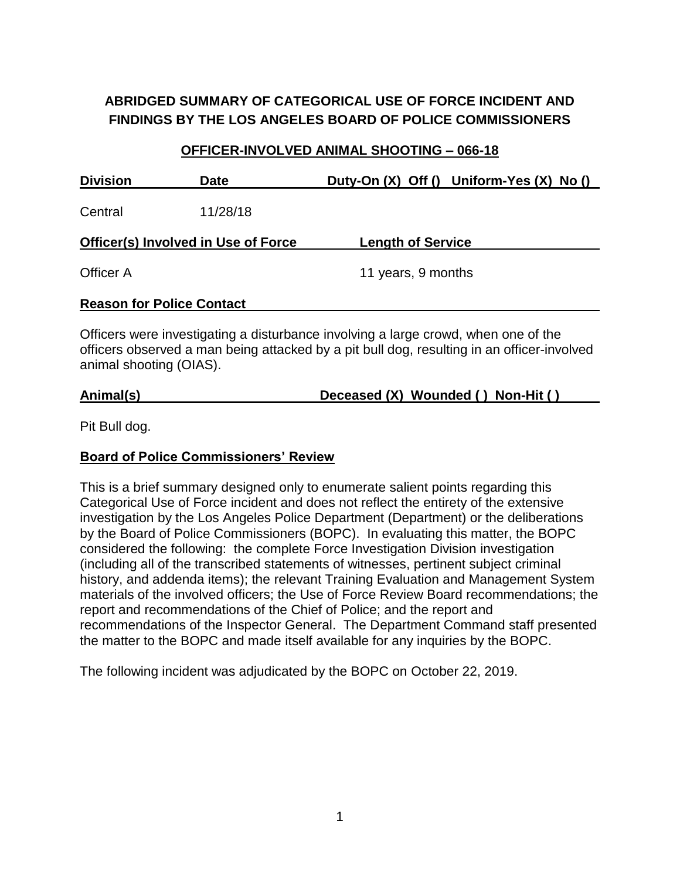# **ABRIDGED SUMMARY OF CATEGORICAL USE OF FORCE INCIDENT AND FINDINGS BY THE LOS ANGELES BOARD OF POLICE COMMISSIONERS**

# **OFFICER-INVOLVED ANIMAL SHOOTING – 066-18 Division Date Duty-On (X) Off () Uniform-Yes (X) No ()** Central 11/28/18 **Officer(s) Involved in Use of Force Length of Service** Officer A 11 years, 9 months **Reason for Police Contact**

Officers were investigating a disturbance involving a large crowd, when one of the officers observed a man being attacked by a pit bull dog, resulting in an officer-involved animal shooting (OIAS).

# **Animal(s) Deceased (X) Wounded ( ) Non-Hit ( )**

Pit Bull dog.

#### **Board of Police Commissioners' Review**

This is a brief summary designed only to enumerate salient points regarding this Categorical Use of Force incident and does not reflect the entirety of the extensive investigation by the Los Angeles Police Department (Department) or the deliberations by the Board of Police Commissioners (BOPC). In evaluating this matter, the BOPC considered the following: the complete Force Investigation Division investigation (including all of the transcribed statements of witnesses, pertinent subject criminal history, and addenda items); the relevant Training Evaluation and Management System materials of the involved officers; the Use of Force Review Board recommendations; the report and recommendations of the Chief of Police; and the report and recommendations of the Inspector General. The Department Command staff presented the matter to the BOPC and made itself available for any inquiries by the BOPC.

The following incident was adjudicated by the BOPC on October 22, 2019.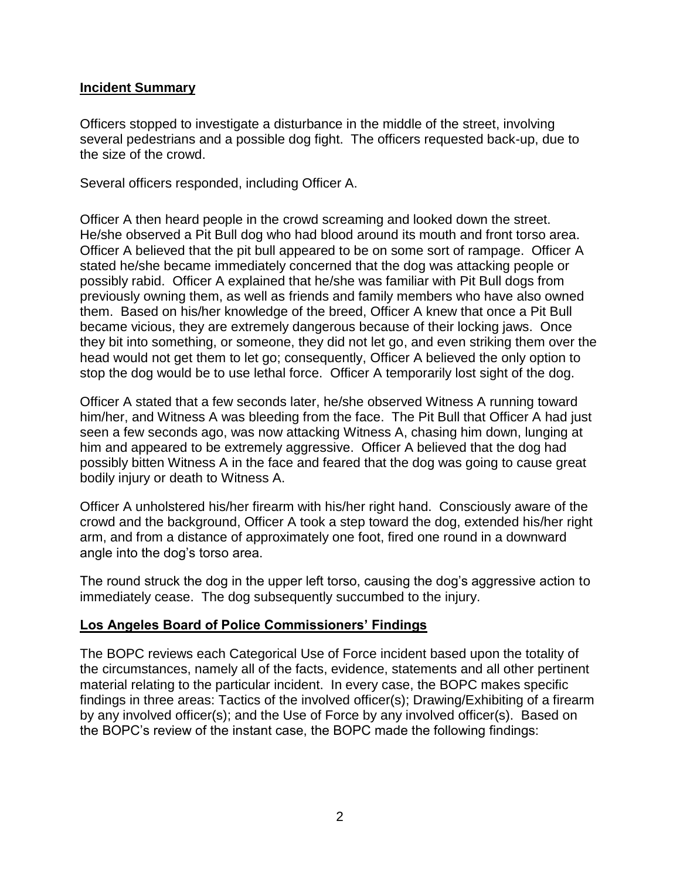#### **Incident Summary**

Officers stopped to investigate a disturbance in the middle of the street, involving several pedestrians and a possible dog fight. The officers requested back-up, due to the size of the crowd.

Several officers responded, including Officer A.

Officer A then heard people in the crowd screaming and looked down the street. He/she observed a Pit Bull dog who had blood around its mouth and front torso area. Officer A believed that the pit bull appeared to be on some sort of rampage. Officer A stated he/she became immediately concerned that the dog was attacking people or possibly rabid. Officer A explained that he/she was familiar with Pit Bull dogs from previously owning them, as well as friends and family members who have also owned them. Based on his/her knowledge of the breed, Officer A knew that once a Pit Bull became vicious, they are extremely dangerous because of their locking jaws. Once they bit into something, or someone, they did not let go, and even striking them over the head would not get them to let go; consequently, Officer A believed the only option to stop the dog would be to use lethal force. Officer A temporarily lost sight of the dog.

Officer A stated that a few seconds later, he/she observed Witness A running toward him/her, and Witness A was bleeding from the face. The Pit Bull that Officer A had just seen a few seconds ago, was now attacking Witness A, chasing him down, lunging at him and appeared to be extremely aggressive. Officer A believed that the dog had possibly bitten Witness A in the face and feared that the dog was going to cause great bodily injury or death to Witness A.

Officer A unholstered his/her firearm with his/her right hand. Consciously aware of the crowd and the background, Officer A took a step toward the dog, extended his/her right arm, and from a distance of approximately one foot, fired one round in a downward angle into the dog's torso area.

The round struck the dog in the upper left torso, causing the dog's aggressive action to immediately cease. The dog subsequently succumbed to the injury.

#### **Los Angeles Board of Police Commissioners' Findings**

The BOPC reviews each Categorical Use of Force incident based upon the totality of the circumstances, namely all of the facts, evidence, statements and all other pertinent material relating to the particular incident. In every case, the BOPC makes specific findings in three areas: Tactics of the involved officer(s); Drawing/Exhibiting of a firearm by any involved officer(s); and the Use of Force by any involved officer(s). Based on the BOPC's review of the instant case, the BOPC made the following findings: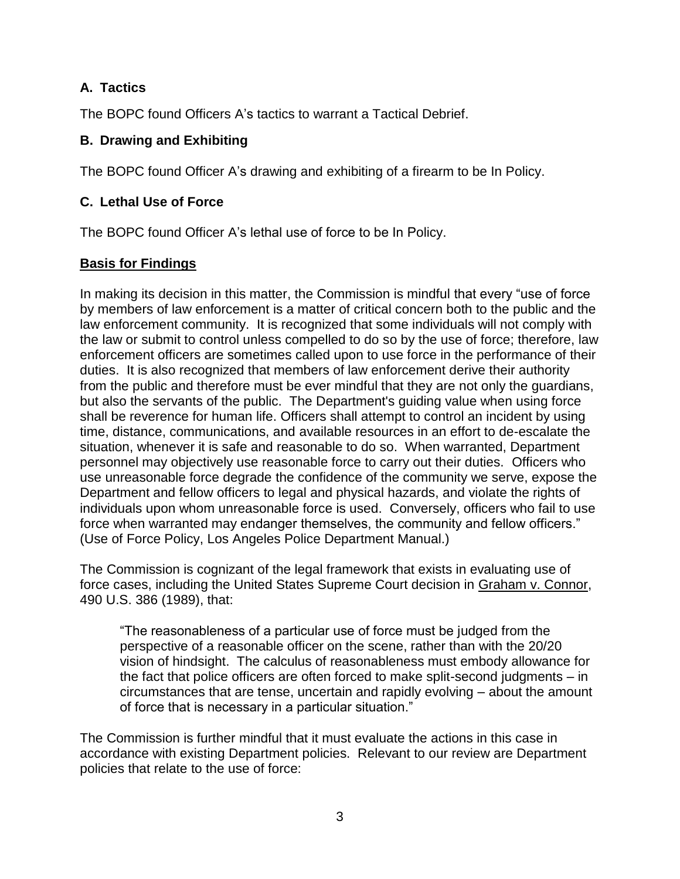## **A. Tactics**

The BOPC found Officers A's tactics to warrant a Tactical Debrief.

### **B. Drawing and Exhibiting**

The BOPC found Officer A's drawing and exhibiting of a firearm to be In Policy.

## **C. Lethal Use of Force**

The BOPC found Officer A's lethal use of force to be In Policy.

#### **Basis for Findings**

In making its decision in this matter, the Commission is mindful that every "use of force by members of law enforcement is a matter of critical concern both to the public and the law enforcement community. It is recognized that some individuals will not comply with the law or submit to control unless compelled to do so by the use of force; therefore, law enforcement officers are sometimes called upon to use force in the performance of their duties. It is also recognized that members of law enforcement derive their authority from the public and therefore must be ever mindful that they are not only the guardians, but also the servants of the public. The Department's guiding value when using force shall be reverence for human life. Officers shall attempt to control an incident by using time, distance, communications, and available resources in an effort to de-escalate the situation, whenever it is safe and reasonable to do so. When warranted, Department personnel may objectively use reasonable force to carry out their duties. Officers who use unreasonable force degrade the confidence of the community we serve, expose the Department and fellow officers to legal and physical hazards, and violate the rights of individuals upon whom unreasonable force is used. Conversely, officers who fail to use force when warranted may endanger themselves, the community and fellow officers." (Use of Force Policy, Los Angeles Police Department Manual.)

The Commission is cognizant of the legal framework that exists in evaluating use of force cases, including the United States Supreme Court decision in Graham v. Connor, 490 U.S. 386 (1989), that:

"The reasonableness of a particular use of force must be judged from the perspective of a reasonable officer on the scene, rather than with the 20/20 vision of hindsight. The calculus of reasonableness must embody allowance for the fact that police officers are often forced to make split-second judgments – in circumstances that are tense, uncertain and rapidly evolving – about the amount of force that is necessary in a particular situation."

The Commission is further mindful that it must evaluate the actions in this case in accordance with existing Department policies. Relevant to our review are Department policies that relate to the use of force: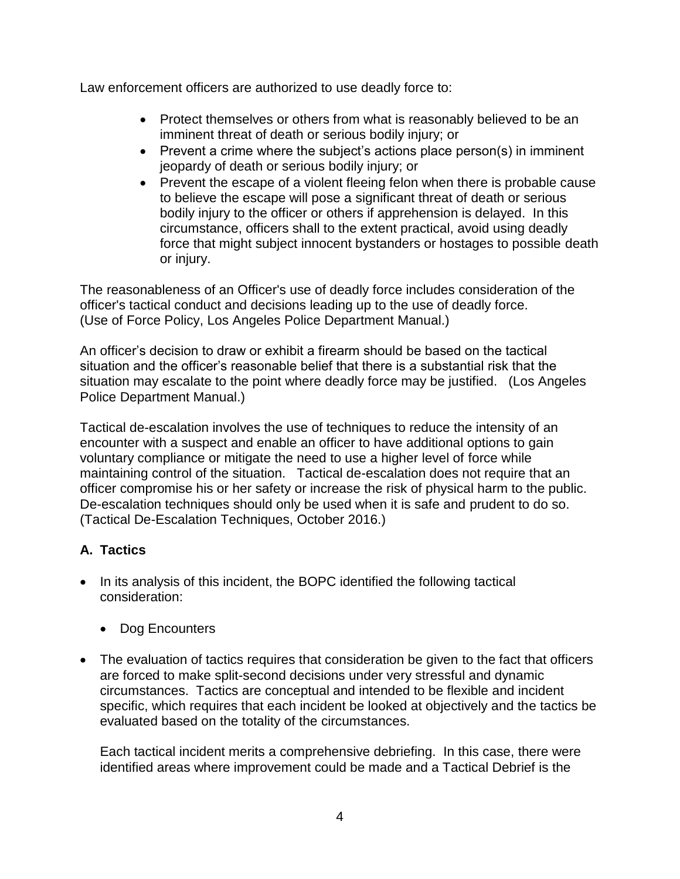Law enforcement officers are authorized to use deadly force to:

- Protect themselves or others from what is reasonably believed to be an imminent threat of death or serious bodily injury; or
- Prevent a crime where the subject's actions place person(s) in imminent jeopardy of death or serious bodily injury; or
- Prevent the escape of a violent fleeing felon when there is probable cause to believe the escape will pose a significant threat of death or serious bodily injury to the officer or others if apprehension is delayed. In this circumstance, officers shall to the extent practical, avoid using deadly force that might subject innocent bystanders or hostages to possible death or injury.

The reasonableness of an Officer's use of deadly force includes consideration of the officer's tactical conduct and decisions leading up to the use of deadly force. (Use of Force Policy, Los Angeles Police Department Manual.)

An officer's decision to draw or exhibit a firearm should be based on the tactical situation and the officer's reasonable belief that there is a substantial risk that the situation may escalate to the point where deadly force may be justified. (Los Angeles Police Department Manual.)

Tactical de-escalation involves the use of techniques to reduce the intensity of an encounter with a suspect and enable an officer to have additional options to gain voluntary compliance or mitigate the need to use a higher level of force while maintaining control of the situation. Tactical de-escalation does not require that an officer compromise his or her safety or increase the risk of physical harm to the public. De-escalation techniques should only be used when it is safe and prudent to do so. (Tactical De-Escalation Techniques, October 2016.)

## **A. Tactics**

- In its analysis of this incident, the BOPC identified the following tactical consideration:
	- Dog Encounters
- The evaluation of tactics requires that consideration be given to the fact that officers are forced to make split-second decisions under very stressful and dynamic circumstances. Tactics are conceptual and intended to be flexible and incident specific, which requires that each incident be looked at objectively and the tactics be evaluated based on the totality of the circumstances.

Each tactical incident merits a comprehensive debriefing. In this case, there were identified areas where improvement could be made and a Tactical Debrief is the